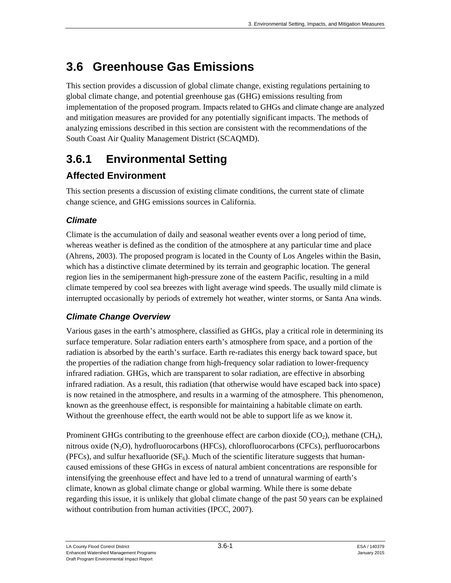# **3.6 Greenhouse Gas Emissions**

This section provides a discussion of global climate change, existing regulations pertaining to global climate change, and potential greenhouse gas (GHG) emissions resulting from implementation of the proposed program. Impacts related to GHGs and climate change are analyzed and mitigation measures are provided for any potentially significant impacts. The methods of analyzing emissions described in this section are consistent with the recommendations of the South Coast Air Quality Management District (SCAQMD).

# **3.6.1 Environmental Setting**

# **Affected Environment**

This section presents a discussion of existing climate conditions, the current state of climate change science, and GHG emissions sources in California.

# *Climate*

Climate is the accumulation of daily and seasonal weather events over a long period of time, whereas weather is defined as the condition of the atmosphere at any particular time and place (Ahrens, 2003). The proposed program is located in the County of Los Angeles within the Basin, which has a distinctive climate determined by its terrain and geographic location. The general region lies in the semipermanent high-pressure zone of the eastern Pacific, resulting in a mild climate tempered by cool sea breezes with light average wind speeds. The usually mild climate is interrupted occasionally by periods of extremely hot weather, winter storms, or Santa Ana winds.

# *Climate Change Overview*

Various gases in the earth's atmosphere, classified as GHGs, play a critical role in determining its surface temperature. Solar radiation enters earth's atmosphere from space, and a portion of the radiation is absorbed by the earth's surface. Earth re-radiates this energy back toward space, but the properties of the radiation change from high-frequency solar radiation to lower-frequency infrared radiation. GHGs, which are transparent to solar radiation, are effective in absorbing infrared radiation. As a result, this radiation (that otherwise would have escaped back into space) is now retained in the atmosphere, and results in a warming of the atmosphere. This phenomenon, known as the greenhouse effect, is responsible for maintaining a habitable climate on earth. Without the greenhouse effect, the earth would not be able to support life as we know it.

Prominent GHGs contributing to the greenhouse effect are carbon dioxide  $(CO<sub>2</sub>)$ , methane  $(CH<sub>4</sub>)$ , nitrous oxide (N2O), hydrofluorocarbons (HFCs), chlorofluorocarbons (CFCs), perfluorocarbons (PFCs), and sulfur hexafluoride  $(SF_6)$ . Much of the scientific literature suggests that humancaused emissions of these GHGs in excess of natural ambient concentrations are responsible for intensifying the greenhouse effect and have led to a trend of unnatural warming of earth's climate, known as global climate change or global warming. While there is some debate regarding this issue, it is unlikely that global climate change of the past 50 years can be explained without contribution from human activities (IPCC, 2007).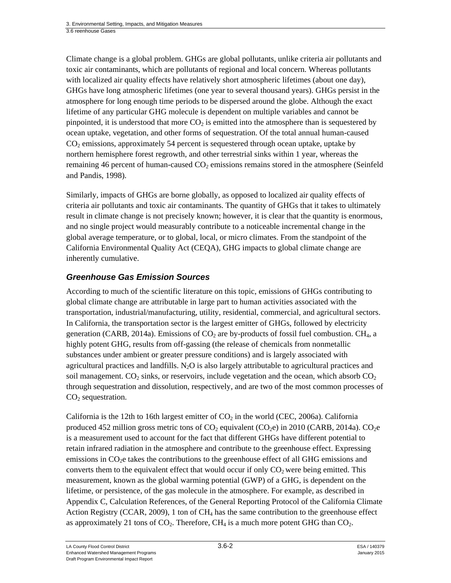Climate change is a global problem. GHGs are global pollutants, unlike criteria air pollutants and toxic air contaminants, which are pollutants of regional and local concern. Whereas pollutants with localized air quality effects have relatively short atmospheric lifetimes (about one day), GHGs have long atmospheric lifetimes (one year to several thousand years). GHGs persist in the atmosphere for long enough time periods to be dispersed around the globe. Although the exact lifetime of any particular GHG molecule is dependent on multiple variables and cannot be pinpointed, it is understood that more  $CO<sub>2</sub>$  is emitted into the atmosphere than is sequestered by ocean uptake, vegetation, and other forms of sequestration. Of the total annual human-caused  $CO<sub>2</sub>$  emissions, approximately 54 percent is sequestered through ocean uptake, uptake by northern hemisphere forest regrowth, and other terrestrial sinks within 1 year, whereas the remaining 46 percent of human-caused  $CO<sub>2</sub>$  emissions remains stored in the atmosphere (Seinfeld and Pandis, 1998).

Similarly, impacts of GHGs are borne globally, as opposed to localized air quality effects of criteria air pollutants and toxic air contaminants. The quantity of GHGs that it takes to ultimately result in climate change is not precisely known; however, it is clear that the quantity is enormous, and no single project would measurably contribute to a noticeable incremental change in the global average temperature, or to global, local, or micro climates. From the standpoint of the California Environmental Quality Act (CEQA), GHG impacts to global climate change are inherently cumulative.

## *Greenhouse Gas Emission Sources*

According to much of the scientific literature on this topic, emissions of GHGs contributing to global climate change are attributable in large part to human activities associated with the transportation, industrial/manufacturing, utility, residential, commercial, and agricultural sectors. In California, the transportation sector is the largest emitter of GHGs, followed by electricity generation (CARB, 2014a). Emissions of  $CO<sub>2</sub>$  are by-products of fossil fuel combustion. CH<sub>4</sub>, a highly potent GHG, results from off-gassing (the release of chemicals from nonmetallic substances under ambient or greater pressure conditions) and is largely associated with agricultural practices and landfills.  $N<sub>2</sub>O$  is also largely attributable to agricultural practices and soil management.  $CO_2$  sinks, or reservoirs, include vegetation and the ocean, which absorb  $CO_2$ through sequestration and dissolution, respectively, and are two of the most common processes of  $CO<sub>2</sub>$  sequestration.

California is the 12th to 16th largest emitter of  $CO<sub>2</sub>$  in the world (CEC, 2006a). California produced 452 million gross metric tons of  $CO<sub>2</sub>$  equivalent (CO<sub>2</sub>e) in 2010 (CARB, 2014a). CO<sub>2</sub>e is a measurement used to account for the fact that different GHGs have different potential to retain infrared radiation in the atmosphere and contribute to the greenhouse effect. Expressing emissions in  $CO<sub>2</sub>e$  takes the contributions to the greenhouse effect of all GHG emissions and converts them to the equivalent effect that would occur if only  $CO<sub>2</sub>$  were being emitted. This measurement, known as the global warming potential (GWP) of a GHG, is dependent on the lifetime, or persistence, of the gas molecule in the atmosphere. For example, as described in Appendix C, Calculation References, of the General Reporting Protocol of the California Climate Action Registry (CCAR, 2009), 1 ton of  $CH_4$  has the same contribution to the greenhouse effect as approximately 21 tons of  $CO<sub>2</sub>$ . Therefore,  $CH<sub>4</sub>$  is a much more potent GHG than  $CO<sub>2</sub>$ .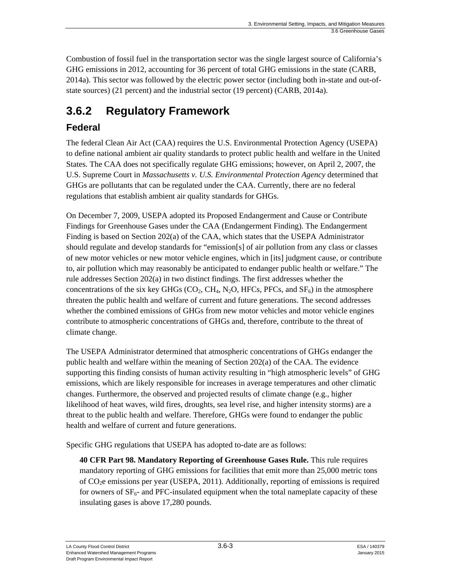Combustion of fossil fuel in the transportation sector was the single largest source of California's GHG emissions in 2012, accounting for 36 percent of total GHG emissions in the state (CARB, 2014a). This sector was followed by the electric power sector (including both in-state and out-ofstate sources) (21 percent) and the industrial sector (19 percent) (CARB, 2014a).

# **3.6.2 Regulatory Framework**

# **Federal**

The federal Clean Air Act (CAA) requires the U.S. Environmental Protection Agency (USEPA) to define national ambient air quality standards to protect public health and welfare in the United States. The CAA does not specifically regulate GHG emissions; however, on April 2, 2007, the U.S. Supreme Court in *Massachusetts v. U.S. Environmental Protection Agency* determined that GHGs are pollutants that can be regulated under the CAA. Currently, there are no federal regulations that establish ambient air quality standards for GHGs.

On December 7, 2009, USEPA adopted its Proposed Endangerment and Cause or Contribute Findings for Greenhouse Gases under the CAA (Endangerment Finding). The Endangerment Finding is based on Section 202(a) of the CAA, which states that the USEPA Administrator should regulate and develop standards for "emission[s] of air pollution from any class or classes of new motor vehicles or new motor vehicle engines, which in [its] judgment cause, or contribute to, air pollution which may reasonably be anticipated to endanger public health or welfare." The rule addresses Section 202(a) in two distinct findings. The first addresses whether the concentrations of the six key GHGs ( $CO<sub>2</sub>$ , CH<sub>4</sub>, N<sub>2</sub>O, HFCs, PFCs, and SF<sub>6</sub>) in the atmosphere threaten the public health and welfare of current and future generations. The second addresses whether the combined emissions of GHGs from new motor vehicles and motor vehicle engines contribute to atmospheric concentrations of GHGs and, therefore, contribute to the threat of climate change.

The USEPA Administrator determined that atmospheric concentrations of GHGs endanger the public health and welfare within the meaning of Section 202(a) of the CAA. The evidence supporting this finding consists of human activity resulting in "high atmospheric levels" of GHG emissions, which are likely responsible for increases in average temperatures and other climatic changes. Furthermore, the observed and projected results of climate change (e.g., higher likelihood of heat waves, wild fires, droughts, sea level rise, and higher intensity storms) are a threat to the public health and welfare. Therefore, GHGs were found to endanger the public health and welfare of current and future generations.

Specific GHG regulations that USEPA has adopted to-date are as follows:

**40 CFR Part 98. Mandatory Reporting of Greenhouse Gases Rule.** This rule requires mandatory reporting of GHG emissions for facilities that emit more than 25,000 metric tons of CO2e emissions per year (USEPA, 2011). Additionally, reporting of emissions is required for owners of  $SF<sub>6</sub>$ - and PFC-insulated equipment when the total nameplate capacity of these insulating gases is above 17,280 pounds.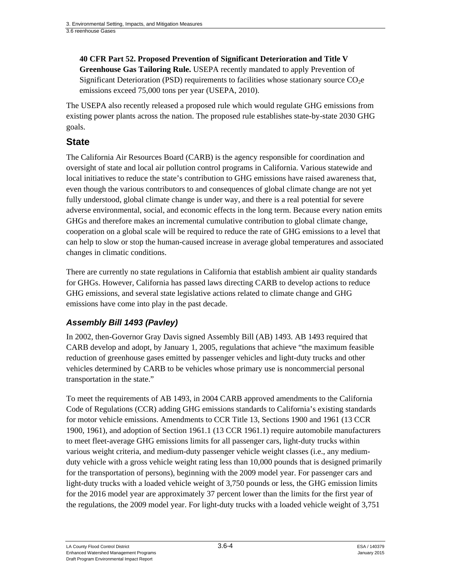# **40 CFR Part 52. Proposed Prevention of Significant Deterioration and Title V**

**Greenhouse Gas Tailoring Rule.** USEPA recently mandated to apply Prevention of Significant Deterioration (PSD) requirements to facilities whose stationary source  $CO<sub>2</sub>e$ emissions exceed 75,000 tons per year (USEPA, 2010).

The USEPA also recently released a proposed rule which would regulate GHG emissions from existing power plants across the nation. The proposed rule establishes state-by-state 2030 GHG goals.

### **State**

The California Air Resources Board (CARB) is the agency responsible for coordination and oversight of state and local air pollution control programs in California. Various statewide and local initiatives to reduce the state's contribution to GHG emissions have raised awareness that, even though the various contributors to and consequences of global climate change are not yet fully understood, global climate change is under way, and there is a real potential for severe adverse environmental, social, and economic effects in the long term. Because every nation emits GHGs and therefore makes an incremental cumulative contribution to global climate change, cooperation on a global scale will be required to reduce the rate of GHG emissions to a level that can help to slow or stop the human-caused increase in average global temperatures and associated changes in climatic conditions.

There are currently no state regulations in California that establish ambient air quality standards for GHGs. However, California has passed laws directing CARB to develop actions to reduce GHG emissions, and several state legislative actions related to climate change and GHG emissions have come into play in the past decade.

## *Assembly Bill 1493 (Pavley)*

In 2002, then-Governor Gray Davis signed Assembly Bill (AB) 1493. AB 1493 required that CARB develop and adopt, by January 1, 2005, regulations that achieve "the maximum feasible reduction of greenhouse gases emitted by passenger vehicles and light-duty trucks and other vehicles determined by CARB to be vehicles whose primary use is noncommercial personal transportation in the state."

To meet the requirements of AB 1493, in 2004 CARB approved amendments to the California Code of Regulations (CCR) adding GHG emissions standards to California's existing standards for motor vehicle emissions. Amendments to CCR Title 13, Sections 1900 and 1961 (13 CCR 1900, 1961), and adoption of Section 1961.1 (13 CCR 1961.1) require automobile manufacturers to meet fleet-average GHG emissions limits for all passenger cars, light-duty trucks within various weight criteria, and medium-duty passenger vehicle weight classes (i.e., any mediumduty vehicle with a gross vehicle weight rating less than 10,000 pounds that is designed primarily for the transportation of persons), beginning with the 2009 model year. For passenger cars and light-duty trucks with a loaded vehicle weight of 3,750 pounds or less, the GHG emission limits for the 2016 model year are approximately 37 percent lower than the limits for the first year of the regulations, the 2009 model year. For light-duty trucks with a loaded vehicle weight of 3,751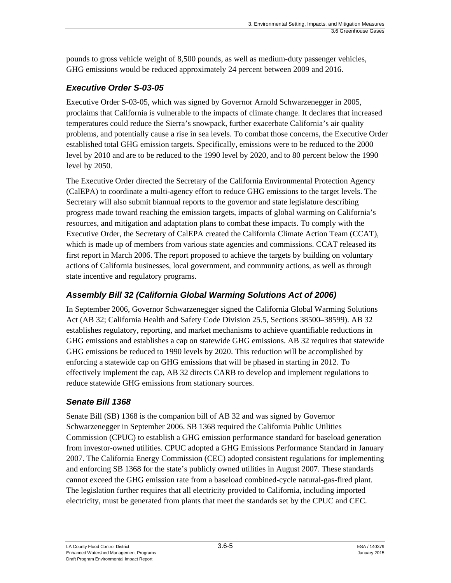pounds to gross vehicle weight of 8,500 pounds, as well as medium-duty passenger vehicles, GHG emissions would be reduced approximately 24 percent between 2009 and 2016.

## *Executive Order S-03-05*

Executive Order S-03-05, which was signed by Governor Arnold Schwarzenegger in 2005, proclaims that California is vulnerable to the impacts of climate change. It declares that increased temperatures could reduce the Sierra's snowpack, further exacerbate California's air quality problems, and potentially cause a rise in sea levels. To combat those concerns, the Executive Order established total GHG emission targets. Specifically, emissions were to be reduced to the 2000 level by 2010 and are to be reduced to the 1990 level by 2020, and to 80 percent below the 1990 level by 2050.

The Executive Order directed the Secretary of the California Environmental Protection Agency (CalEPA) to coordinate a multi-agency effort to reduce GHG emissions to the target levels. The Secretary will also submit biannual reports to the governor and state legislature describing progress made toward reaching the emission targets, impacts of global warming on California's resources, and mitigation and adaptation plans to combat these impacts. To comply with the Executive Order, the Secretary of CalEPA created the California Climate Action Team (CCAT), which is made up of members from various state agencies and commissions. CCAT released its first report in March 2006. The report proposed to achieve the targets by building on voluntary actions of California businesses, local government, and community actions, as well as through state incentive and regulatory programs.

# *Assembly Bill 32 (California Global Warming Solutions Act of 2006)*

In September 2006, Governor Schwarzenegger signed the California Global Warming Solutions Act (AB 32; California Health and Safety Code Division 25.5, Sections 38500–38599). AB 32 establishes regulatory, reporting, and market mechanisms to achieve quantifiable reductions in GHG emissions and establishes a cap on statewide GHG emissions. AB 32 requires that statewide GHG emissions be reduced to 1990 levels by 2020. This reduction will be accomplished by enforcing a statewide cap on GHG emissions that will be phased in starting in 2012. To effectively implement the cap, AB 32 directs CARB to develop and implement regulations to reduce statewide GHG emissions from stationary sources.

## *Senate Bill 1368*

Senate Bill (SB) 1368 is the companion bill of AB 32 and was signed by Governor Schwarzenegger in September 2006. SB 1368 required the California Public Utilities Commission (CPUC) to establish a GHG emission performance standard for baseload generation from investor-owned utilities. CPUC adopted a GHG Emissions Performance Standard in January 2007. The California Energy Commission (CEC) adopted consistent regulations for implementing and enforcing SB 1368 for the state's publicly owned utilities in August 2007. These standards cannot exceed the GHG emission rate from a baseload combined-cycle natural-gas-fired plant. The legislation further requires that all electricity provided to California, including imported electricity, must be generated from plants that meet the standards set by the CPUC and CEC.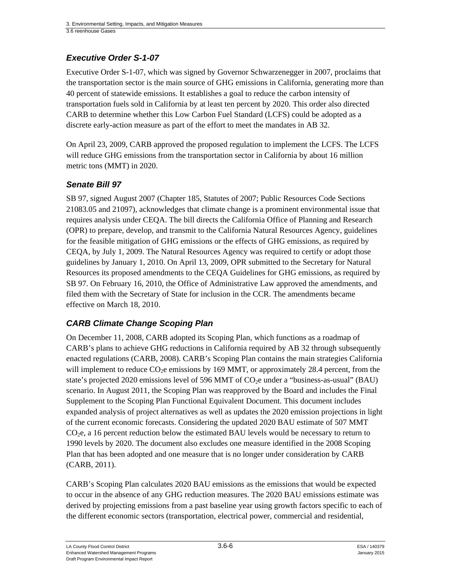# *Executive Order S-1-07*

Executive Order S-1-07, which was signed by Governor Schwarzenegger in 2007, proclaims that the transportation sector is the main source of GHG emissions in California, generating more than 40 percent of statewide emissions. It establishes a goal to reduce the carbon intensity of transportation fuels sold in California by at least ten percent by 2020. This order also directed CARB to determine whether this Low Carbon Fuel Standard (LCFS) could be adopted as a discrete early-action measure as part of the effort to meet the mandates in AB 32.

On April 23, 2009, CARB approved the proposed regulation to implement the LCFS. The LCFS will reduce GHG emissions from the transportation sector in California by about 16 million metric tons (MMT) in 2020.

## *Senate Bill 97*

SB 97, signed August 2007 (Chapter 185, Statutes of 2007; Public Resources Code Sections 21083.05 and 21097), acknowledges that climate change is a prominent environmental issue that requires analysis under CEQA. The bill directs the California Office of Planning and Research (OPR) to prepare, develop, and transmit to the California Natural Resources Agency, guidelines for the feasible mitigation of GHG emissions or the effects of GHG emissions, as required by CEQA, by July 1, 2009. The Natural Resources Agency was required to certify or adopt those guidelines by January 1, 2010. On April 13, 2009, OPR submitted to the Secretary for Natural Resources its proposed amendments to the CEQA Guidelines for GHG emissions, as required by SB 97. On February 16, 2010, the Office of Administrative Law approved the amendments, and filed them with the Secretary of State for inclusion in the CCR. The amendments became effective on March 18, 2010.

## *CARB Climate Change Scoping Plan*

On December 11, 2008, CARB adopted its Scoping Plan, which functions as a roadmap of CARB's plans to achieve GHG reductions in California required by AB 32 through subsequently enacted regulations (CARB, 2008). CARB's Scoping Plan contains the main strategies California will implement to reduce  $CO<sub>2</sub>e$  emissions by 169 MMT, or approximately 28.4 percent, from the state's projected 2020 emissions level of 596 MMT of  $CO<sub>2</sub>e$  under a "business-as-usual" (BAU) scenario. In August 2011, the Scoping Plan was reapproved by the Board and includes the Final Supplement to the Scoping Plan Functional Equivalent Document. This document includes expanded analysis of project alternatives as well as updates the 2020 emission projections in light of the current economic forecasts. Considering the updated 2020 BAU estimate of 507 MMT  $CO<sub>2</sub>e$ , a 16 percent reduction below the estimated BAU levels would be necessary to return to 1990 levels by 2020. The document also excludes one measure identified in the 2008 Scoping Plan that has been adopted and one measure that is no longer under consideration by CARB (CARB, 2011).

CARB's Scoping Plan calculates 2020 BAU emissions as the emissions that would be expected to occur in the absence of any GHG reduction measures. The 2020 BAU emissions estimate was derived by projecting emissions from a past baseline year using growth factors specific to each of the different economic sectors (transportation, electrical power, commercial and residential,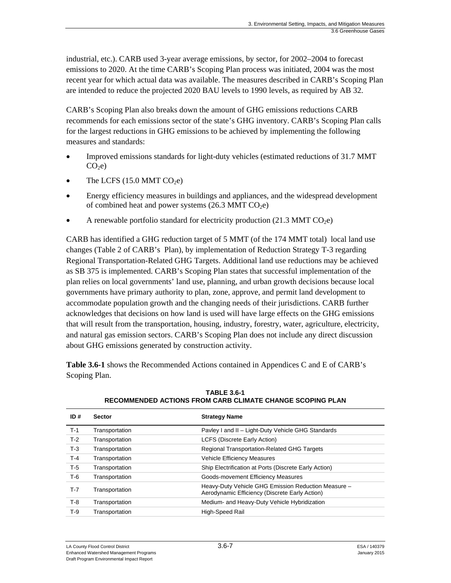industrial, etc.). CARB used 3-year average emissions, by sector, for 2002–2004 to forecast emissions to 2020. At the time CARB's Scoping Plan process was initiated, 2004 was the most recent year for which actual data was available. The measures described in CARB's Scoping Plan are intended to reduce the projected 2020 BAU levels to 1990 levels, as required by AB 32.

CARB's Scoping Plan also breaks down the amount of GHG emissions reductions CARB recommends for each emissions sector of the state's GHG inventory. CARB's Scoping Plan calls for the largest reductions in GHG emissions to be achieved by implementing the following measures and standards:

- Improved emissions standards for light-duty vehicles (estimated reductions of 31.7 MMT  $CO<sub>2</sub>e$
- The LCFS  $(15.0 \text{ MMT CO}_2)$
- Energy efficiency measures in buildings and appliances, and the widespread development of combined heat and power systems  $(26.3 \text{ MMT CO}_{2}e)$
- A renewable portfolio standard for electricity production  $(21.3 \text{ MMT CO}_{2}e)$

CARB has identified a GHG reduction target of 5 MMT (of the 174 MMT total) local land use changes (Table 2 of CARB's Plan), by implementation of Reduction Strategy T-3 regarding Regional Transportation-Related GHG Targets. Additional land use reductions may be achieved as SB 375 is implemented. CARB's Scoping Plan states that successful implementation of the plan relies on local governments' land use, planning, and urban growth decisions because local governments have primary authority to plan, zone, approve, and permit land development to accommodate population growth and the changing needs of their jurisdictions. CARB further acknowledges that decisions on how land is used will have large effects on the GHG emissions that will result from the transportation, housing, industry, forestry, water, agriculture, electricity, and natural gas emission sectors. CARB's Scoping Plan does not include any direct discussion about GHG emissions generated by construction activity.

**Table 3.6-1** shows the Recommended Actions contained in Appendices C and E of CARB's Scoping Plan.

| ID#   | <b>Sector</b>  | <b>Strategy Name</b>                                                                                  |
|-------|----------------|-------------------------------------------------------------------------------------------------------|
| $T-1$ | Transportation | Pavley I and II - Light-Duty Vehicle GHG Standards                                                    |
| $T-2$ | Transportation | <b>LCFS (Discrete Early Action)</b>                                                                   |
| $T-3$ | Transportation | <b>Regional Transportation-Related GHG Targets</b>                                                    |
| T-4   | Transportation | <b>Vehicle Efficiency Measures</b>                                                                    |
| $T-5$ | Transportation | Ship Electrification at Ports (Discrete Early Action)                                                 |
| T-6   | Transportation | Goods-movement Efficiency Measures                                                                    |
| $T-7$ | Transportation | Heavy-Duty Vehicle GHG Emission Reduction Measure -<br>Aerodynamic Efficiency (Discrete Early Action) |
| $T-8$ | Transportation | Medium- and Heavy-Duty Vehicle Hybridization                                                          |
| T-9   | Transportation | High-Speed Rail                                                                                       |
|       |                |                                                                                                       |

**TABLE 3.6-1 RECOMMENDED ACTIONS FROM CARB CLIMATE CHANGE SCOPING PLAN**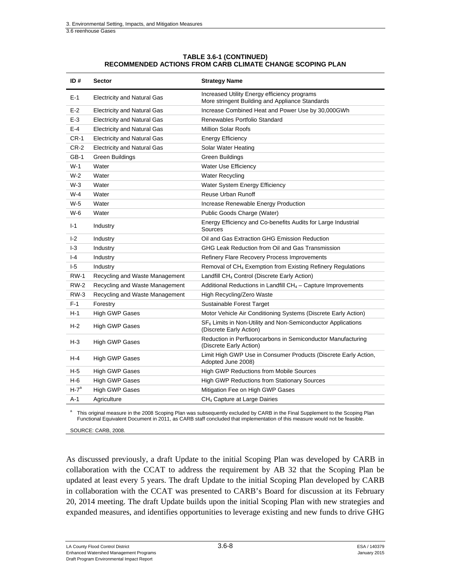#### **TABLE 3.6-1 (CONTINUED) RECOMMENDED ACTIONS FROM CARB CLIMATE CHANGE SCOPING PLAN**

| ID#         | <b>Sector</b>                      | <b>Strategy Name</b>                                                                            |
|-------------|------------------------------------|-------------------------------------------------------------------------------------------------|
| $E-1$       | <b>Electricity and Natural Gas</b> | Increased Utility Energy efficiency programs<br>More stringent Building and Appliance Standards |
| $E-2$       | <b>Electricity and Natural Gas</b> | Increase Combined Heat and Power Use by 30,000GWh                                               |
| $E-3$       | <b>Electricity and Natural Gas</b> | Renewables Portfolio Standard                                                                   |
| $E-4$       | <b>Electricity and Natural Gas</b> | <b>Million Solar Roofs</b>                                                                      |
| $CR-1$      | <b>Electricity and Natural Gas</b> | <b>Energy Efficiency</b>                                                                        |
| $CR-2$      | <b>Electricity and Natural Gas</b> | Solar Water Heating                                                                             |
| $GB-1$      | <b>Green Buildings</b>             | <b>Green Buildings</b>                                                                          |
| $W-1$       | Water                              | <b>Water Use Efficiency</b>                                                                     |
| $W-2$       | Water                              | <b>Water Recycling</b>                                                                          |
| $W-3$       | Water                              | Water System Energy Efficiency                                                                  |
| $W-4$       | Water                              | <b>Reuse Urban Runoff</b>                                                                       |
| $W-5$       | Water                              | Increase Renewable Energy Production                                                            |
| W-6         | Water                              | Public Goods Charge (Water)                                                                     |
| $I-1$       | Industry                           | Energy Efficiency and Co-benefits Audits for Large Industrial<br>Sources                        |
| $-2$        | Industry                           | Oil and Gas Extraction GHG Emission Reduction                                                   |
| $-3$        | Industry                           | GHG Leak Reduction from Oil and Gas Transmission                                                |
| $-4$        | Industry                           | Refinery Flare Recovery Process Improvements                                                    |
| $-5$        | Industry                           | Removal of CH <sub>4</sub> Exemption from Existing Refinery Regulations                         |
| <b>RW-1</b> | Recycling and Waste Management     | Landfill CH <sub>4</sub> Control (Discrete Early Action)                                        |
| <b>RW-2</b> | Recycling and Waste Management     | Additional Reductions in Landfill $CH4 - C$ apture Improvements                                 |
| $RW-3$      | Recycling and Waste Management     | High Recycling/Zero Waste                                                                       |
| $F-1$       | Forestry                           | Sustainable Forest Target                                                                       |
| H-1         | High GWP Gases                     | Motor Vehicle Air Conditioning Systems (Discrete Early Action)                                  |
| $H-2$       | High GWP Gases                     | $SF6$ Limits in Non-Utility and Non-Semiconductor Applications<br>(Discrete Early Action)       |
| $H-3$       | High GWP Gases                     | Reduction in Perfluorocarbons in Semiconductor Manufacturing<br>(Discrete Early Action)         |
| H-4         | <b>High GWP Gases</b>              | Limit High GWP Use in Consumer Products (Discrete Early Action,<br>Adopted June 2008)           |
| $H-5$       | <b>High GWP Gases</b>              | High GWP Reductions from Mobile Sources                                                         |
| H-6         | High GWP Gases                     | <b>High GWP Reductions from Stationary Sources</b>                                              |
| $H - 7a$    | <b>High GWP Gases</b>              | Mitigation Fee on High GWP Gases                                                                |
| A-1         | Agriculture                        | CH <sub>4</sub> Capture at Large Dairies                                                        |

a This original measure in the 2008 Scoping Plan was subsequently excluded by CARB in the Final Supplement to the Scoping Plan Functional Equivalent Document in 2011, as CARB staff concluded that implementation of this measure would not be feasible.

SOURCE: CARB, 2008.

As discussed previously, a draft Update to the initial Scoping Plan was developed by CARB in collaboration with the CCAT to address the requirement by AB 32 that the Scoping Plan be updated at least every 5 years. The draft Update to the initial Scoping Plan developed by CARB in collaboration with the CCAT was presented to CARB's Board for discussion at its February 20, 2014 meeting. The draft Update builds upon the initial Scoping Plan with new strategies and expanded measures, and identifies opportunities to leverage existing and new funds to drive GHG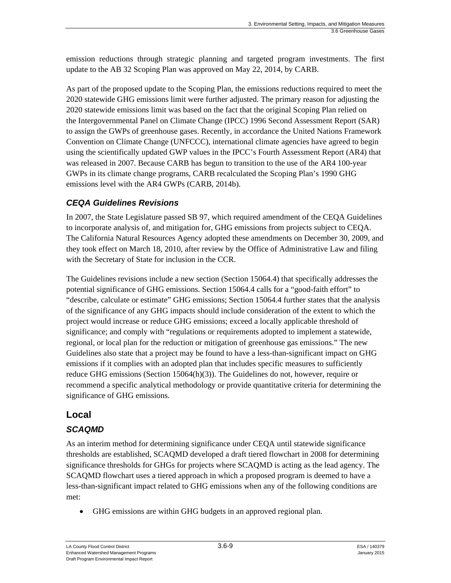emission reductions through strategic planning and targeted program investments. The first update to the AB 32 Scoping Plan was approved on May 22, 2014, by CARB.

As part of the proposed update to the Scoping Plan, the emissions reductions required to meet the 2020 statewide GHG emissions limit were further adjusted. The primary reason for adjusting the 2020 statewide emissions limit was based on the fact that the original Scoping Plan relied on the Intergovernmental Panel on Climate Change (IPCC) 1996 Second Assessment Report (SAR) to assign the GWPs of greenhouse gases. Recently, in accordance the United Nations Framework Convention on Climate Change (UNFCCC), international climate agencies have agreed to begin using the scientifically updated GWP values in the IPCC's Fourth Assessment Report (AR4) that was released in 2007. Because CARB has begun to transition to the use of the AR4 100-year GWPs in its climate change programs, CARB recalculated the Scoping Plan's 1990 GHG emissions level with the AR4 GWPs (CARB, 2014b).

# *CEQA Guidelines Revisions*

In 2007, the State Legislature passed SB 97, which required amendment of the CEQA Guidelines to incorporate analysis of, and mitigation for, GHG emissions from projects subject to CEQA. The California Natural Resources Agency adopted these amendments on December 30, 2009, and they took effect on March 18, 2010, after review by the Office of Administrative Law and filing with the Secretary of State for inclusion in the CCR.

The Guidelines revisions include a new section (Section 15064.4) that specifically addresses the potential significance of GHG emissions. Section 15064.4 calls for a "good-faith effort" to "describe, calculate or estimate" GHG emissions; Section 15064.4 further states that the analysis of the significance of any GHG impacts should include consideration of the extent to which the project would increase or reduce GHG emissions; exceed a locally applicable threshold of significance; and comply with "regulations or requirements adopted to implement a statewide, regional, or local plan for the reduction or mitigation of greenhouse gas emissions." The new Guidelines also state that a project may be found to have a less-than-significant impact on GHG emissions if it complies with an adopted plan that includes specific measures to sufficiently reduce GHG emissions (Section 15064(h)(3)). The Guidelines do not, however, require or recommend a specific analytical methodology or provide quantitative criteria for determining the significance of GHG emissions.

# **Local**

# *SCAQMD*

As an interim method for determining significance under CEQA until statewide significance thresholds are established, SCAQMD developed a draft tiered flowchart in 2008 for determining significance thresholds for GHGs for projects where SCAQMD is acting as the lead agency. The SCAQMD flowchart uses a tiered approach in which a proposed program is deemed to have a less-than-significant impact related to GHG emissions when any of the following conditions are met:

GHG emissions are within GHG budgets in an approved regional plan.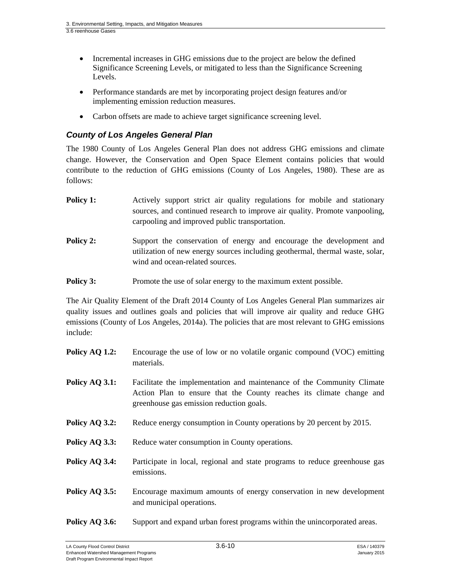- Incremental increases in GHG emissions due to the project are below the defined Significance Screening Levels, or mitigated to less than the Significance Screening Levels.
- Performance standards are met by incorporating project design features and/or implementing emission reduction measures.
- Carbon offsets are made to achieve target significance screening level.

#### *County of Los Angeles General Plan*

The 1980 County of Los Angeles General Plan does not address GHG emissions and climate change. However, the Conservation and Open Space Element contains policies that would contribute to the reduction of GHG emissions (County of Los Angeles, 1980). These are as follows:

- **Policy 1:** Actively support strict air quality regulations for mobile and stationary sources, and continued research to improve air quality. Promote vanpooling, carpooling and improved public transportation.
- **Policy 2:** Support the conservation of energy and encourage the development and utilization of new energy sources including geothermal, thermal waste, solar, wind and ocean-related sources.

**Policy 3:** Promote the use of solar energy to the maximum extent possible.

The Air Quality Element of the Draft 2014 County of Los Angeles General Plan summarizes air quality issues and outlines goals and policies that will improve air quality and reduce GHG emissions (County of Los Angeles, 2014a). The policies that are most relevant to GHG emissions include:

- **Policy AQ 1.2:** Encourage the use of low or no volatile organic compound (VOC) emitting materials.
- **Policy AQ 3.1:** Facilitate the implementation and maintenance of the Community Climate Action Plan to ensure that the County reaches its climate change and greenhouse gas emission reduction goals.
- **Policy AQ 3.2:** Reduce energy consumption in County operations by 20 percent by 2015.
- **Policy AQ 3.3:** Reduce water consumption in County operations.
- **Policy AQ 3.4:** Participate in local, regional and state programs to reduce greenhouse gas emissions.
- **Policy AQ 3.5:** Encourage maximum amounts of energy conservation in new development and municipal operations.
- **Policy AQ 3.6:** Support and expand urban forest programs within the unincorporated areas.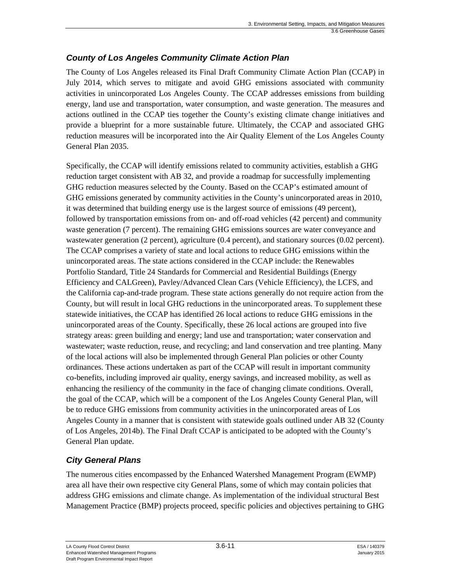### *County of Los Angeles Community Climate Action Plan*

The County of Los Angeles released its Final Draft Community Climate Action Plan (CCAP) in July 2014, which serves to mitigate and avoid GHG emissions associated with community activities in unincorporated Los Angeles County. The CCAP addresses emissions from building energy, land use and transportation, water consumption, and waste generation. The measures and actions outlined in the CCAP ties together the County's existing climate change initiatives and provide a blueprint for a more sustainable future. Ultimately, the CCAP and associated GHG reduction measures will be incorporated into the Air Quality Element of the Los Angeles County General Plan 2035.

Specifically, the CCAP will identify emissions related to community activities, establish a GHG reduction target consistent with AB 32, and provide a roadmap for successfully implementing GHG reduction measures selected by the County. Based on the CCAP's estimated amount of GHG emissions generated by community activities in the County's unincorporated areas in 2010, it was determined that building energy use is the largest source of emissions (49 percent), followed by transportation emissions from on- and off-road vehicles (42 percent) and community waste generation (7 percent). The remaining GHG emissions sources are water conveyance and wastewater generation (2 percent), agriculture (0.4 percent), and stationary sources (0.02 percent). The CCAP comprises a variety of state and local actions to reduce GHG emissions within the unincorporated areas. The state actions considered in the CCAP include: the Renewables Portfolio Standard, Title 24 Standards for Commercial and Residential Buildings (Energy Efficiency and CALGreen), Pavley/Advanced Clean Cars (Vehicle Efficiency), the LCFS, and the California cap-and-trade program. These state actions generally do not require action from the County, but will result in local GHG reductions in the unincorporated areas. To supplement these statewide initiatives, the CCAP has identified 26 local actions to reduce GHG emissions in the unincorporated areas of the County. Specifically, these 26 local actions are grouped into five strategy areas: green building and energy; land use and transportation; water conservation and wastewater; waste reduction, reuse, and recycling; and land conservation and tree planting. Many of the local actions will also be implemented through General Plan policies or other County ordinances. These actions undertaken as part of the CCAP will result in important community co-benefits, including improved air quality, energy savings, and increased mobility, as well as enhancing the resiliency of the community in the face of changing climate conditions. Overall, the goal of the CCAP, which will be a component of the Los Angeles County General Plan, will be to reduce GHG emissions from community activities in the unincorporated areas of Los Angeles County in a manner that is consistent with statewide goals outlined under AB 32 (County of Los Angeles, 2014b). The Final Draft CCAP is anticipated to be adopted with the County's General Plan update.

# *City General Plans*

The numerous cities encompassed by the Enhanced Watershed Management Program (EWMP) area all have their own respective city General Plans, some of which may contain policies that address GHG emissions and climate change. As implementation of the individual structural Best Management Practice (BMP) projects proceed, specific policies and objectives pertaining to GHG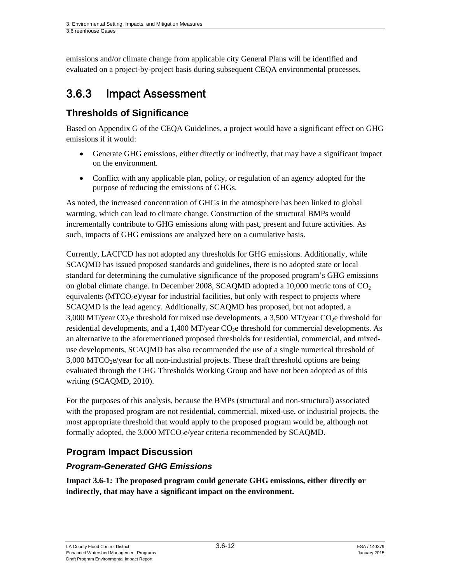emissions and/or climate change from applicable city General Plans will be identified and evaluated on a project-by-project basis during subsequent CEQA environmental processes.

# 3.6.3 Impact Assessment

# **Thresholds of Significance**

Based on Appendix G of the CEQA Guidelines, a project would have a significant effect on GHG emissions if it would:

- Generate GHG emissions, either directly or indirectly, that may have a significant impact on the environment.
- Conflict with any applicable plan, policy, or regulation of an agency adopted for the purpose of reducing the emissions of GHGs.

As noted, the increased concentration of GHGs in the atmosphere has been linked to global warming, which can lead to climate change. Construction of the structural BMPs would incrementally contribute to GHG emissions along with past, present and future activities. As such, impacts of GHG emissions are analyzed here on a cumulative basis.

Currently, LACFCD has not adopted any thresholds for GHG emissions. Additionally, while SCAQMD has issued proposed standards and guidelines, there is no adopted state or local standard for determining the cumulative significance of the proposed program's GHG emissions on global climate change. In December 2008, SCAQMD adopted a 10,000 metric tons of  $CO<sub>2</sub>$ equivalents  $(MTCO<sub>2</sub>e)/year$  for industrial facilities, but only with respect to projects where SCAQMD is the lead agency. Additionally, SCAQMD has proposed, but not adopted, a 3,000 MT/year  $CO<sub>2</sub>e$  threshold for mixed use developments, a 3,500 MT/year  $CO<sub>2</sub>e$  threshold for residential developments, and a 1,400 MT/year  $CO<sub>2</sub>e$  threshold for commercial developments. As an alternative to the aforementioned proposed thresholds for residential, commercial, and mixeduse developments, SCAQMD has also recommended the use of a single numerical threshold of  $3,000$  MTCO<sub>2</sub>e/year for all non-industrial projects. These draft threshold options are being evaluated through the GHG Thresholds Working Group and have not been adopted as of this writing (SCAQMD, 2010).

For the purposes of this analysis, because the BMPs (structural and non-structural) associated with the proposed program are not residential, commercial, mixed-use, or industrial projects, the most appropriate threshold that would apply to the proposed program would be, although not formally adopted, the 3,000 MTCO<sub>2</sub>e/year criteria recommended by SCAQMD.

# **Program Impact Discussion**

## *Program-Generated GHG Emissions*

**Impact 3.6-1: The proposed program could generate GHG emissions, either directly or indirectly, that may have a significant impact on the environment.**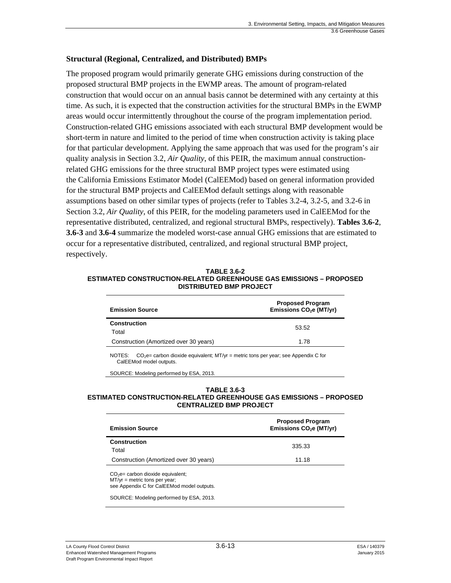#### **Structural (Regional, Centralized, and Distributed) BMPs**

The proposed program would primarily generate GHG emissions during construction of the proposed structural BMP projects in the EWMP areas. The amount of program-related construction that would occur on an annual basis cannot be determined with any certainty at this time. As such, it is expected that the construction activities for the structural BMPs in the EWMP areas would occur intermittently throughout the course of the program implementation period. Construction-related GHG emissions associated with each structural BMP development would be short-term in nature and limited to the period of time when construction activity is taking place for that particular development. Applying the same approach that was used for the program's air quality analysis in Section 3.2, *Air Quality*, of this PEIR, the maximum annual constructionrelated GHG emissions for the three structural BMP project types were estimated using the California Emissions Estimator Model (CalEEMod) based on general information provided for the structural BMP projects and CalEEMod default settings along with reasonable assumptions based on other similar types of projects (refer to Tables 3.2-4, 3.2-5, and 3.2-6 in Section 3.2, *Air Quality,* of this PEIR, for the modeling parameters used in CalEEMod for the representative distributed, centralized, and regional structural BMPs, respectively). **Tables 3.6-2**, **3.6-3** and **3.6-4** summarize the modeled worst-case annual GHG emissions that are estimated to occur for a representative distributed, centralized, and regional structural BMP project, respectively.

**TABLE 3.6-2 ESTIMATED CONSTRUCTION-RELATED GREENHOUSE GAS EMISSIONS – PROPOSED DISTRIBUTED BMP PROJECT** 

| <b>Emission Source</b>                 | <b>Proposed Program</b><br>Emissions CO <sub>2</sub> e (MT/yr) |  |
|----------------------------------------|----------------------------------------------------------------|--|
| <b>Construction</b><br>Total           | 53.52                                                          |  |
| Construction (Amortized over 30 years) | 1.78                                                           |  |

NOTES:  $CO_2e=$  carbon dioxide equivalent; MT/yr = metric tons per year; see Appendix C for CalEEMod model outputs.

SOURCE: Modeling performed by ESA, 2013.

#### **TABLE 3.6-3 ESTIMATED CONSTRUCTION-RELATED GREENHOUSE GAS EMISSIONS – PROPOSED CENTRALIZED BMP PROJECT**

| <b>Emission Source</b>                                                                                              | <b>Proposed Program</b><br>Emissions CO <sub>2</sub> e (MT/yr) |  |
|---------------------------------------------------------------------------------------------------------------------|----------------------------------------------------------------|--|
| <b>Construction</b><br>Total                                                                                        | 335.33                                                         |  |
| Construction (Amortized over 30 years)                                                                              | 11.18                                                          |  |
| $CO2e=$ carbon dioxide equivalent;<br>$MT/yr =$ metric tons per year;<br>see Appendix C for CalEEMod model outputs. |                                                                |  |
| SOURCE: Modeling performed by ESA, 2013.                                                                            |                                                                |  |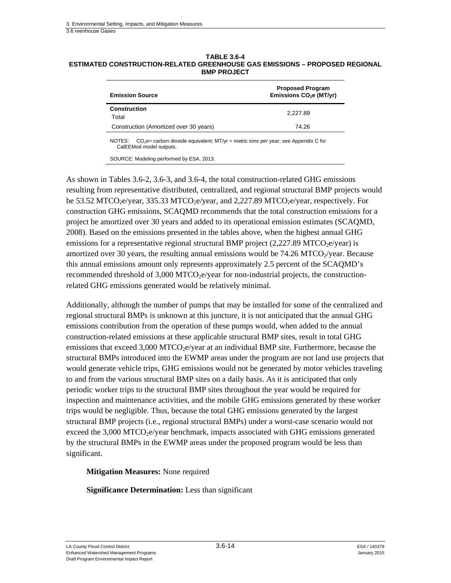| <b>TABLE 3.6-4</b>                                                          |
|-----------------------------------------------------------------------------|
| ESTIMATED CONSTRUCTION-RELATED GREENHOUSE GAS EMISSIONS – PROPOSED REGIONAL |
| <b>BMP PROJECT</b>                                                          |

| <b>Emission Source</b>                                                                                                   | <b>Proposed Program</b><br>Emissions CO <sub>2</sub> e (MT/yr) |  |
|--------------------------------------------------------------------------------------------------------------------------|----------------------------------------------------------------|--|
| Construction<br>Total                                                                                                    | 2.227.89                                                       |  |
| Construction (Amortized over 30 years)                                                                                   | 74.26                                                          |  |
| $CO2e=$ carbon dioxide equivalent; MT/yr = metric tons per year; see Appendix C for<br>NOTES:<br>CalEEMod model outputs. |                                                                |  |

SOURCE: Modeling performed by ESA, 2013.

As shown in Tables 3.6-2, 3.6-3, and 3.6-4, the total construction-related GHG emissions resulting from representative distributed, centralized, and regional structural BMP projects would be 53.52 MTCO<sub>2</sub>e/year, 335.33 MTCO<sub>2</sub>e/year, and 2,227.89 MTCO<sub>2</sub>e/year, respectively. For construction GHG emissions, SCAQMD recommends that the total construction emissions for a project be amortized over 30 years and added to its operational emission estimates (SCAQMD, 2008). Based on the emissions presented in the tables above, when the highest annual GHG emissions for a representative regional structural BMP project  $(2,227.89$  MTCO<sub>2</sub>e/year) is amortized over 30 years, the resulting annual emissions would be  $74.26$  MTCO $_2$ /year. Because this annual emissions amount only represents approximately 2.5 percent of the SCAQMD's recommended threshold of  $3,000$  MTCO<sub>2</sub>e/year for non-industrial projects, the constructionrelated GHG emissions generated would be relatively minimal.

Additionally, although the number of pumps that may be installed for some of the centralized and regional structural BMPs is unknown at this juncture, it is not anticipated that the annual GHG emissions contribution from the operation of these pumps would, when added to the annual construction-related emissions at these applicable structural BMP sites, result in total GHG emissions that exceed  $3,000$  MTCO<sub>2</sub>e/year at an individual BMP site. Furthermore, because the structural BMPs introduced into the EWMP areas under the program are not land use projects that would generate vehicle trips, GHG emissions would not be generated by motor vehicles traveling to and from the various structural BMP sites on a daily basis. As it is anticipated that only periodic worker trips to the structural BMP sites throughout the year would be required for inspection and maintenance activities, and the mobile GHG emissions generated by these worker trips would be negligible. Thus, because the total GHG emissions generated by the largest structural BMP projects (i.e., regional structural BMPs) under a worst-case scenario would not exceed the  $3,000$  MTCO<sub>2</sub>e/year benchmark, impacts associated with GHG emissions generated by the structural BMPs in the EWMP areas under the proposed program would be less than significant.

**Mitigation Measures:** None required

**Significance Determination:** Less than significant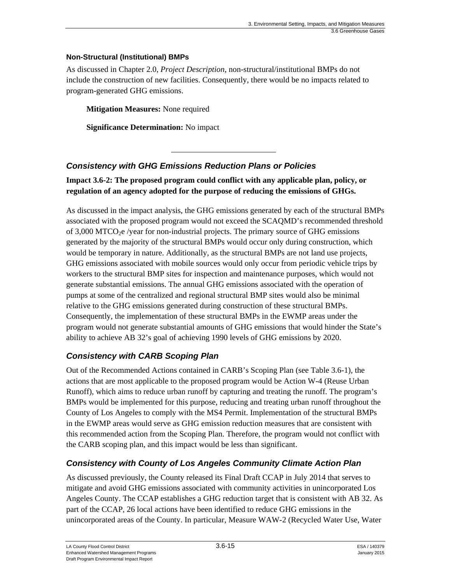#### **Non-Structural (Institutional) BMPs**

As discussed in Chapter 2.0, *Project Description*, non-structural/institutional BMPs do not include the construction of new facilities. Consequently, there would be no impacts related to program-generated GHG emissions.

**Mitigation Measures:** None required

**Significance Determination:** No impact

### *Consistency with GHG Emissions Reduction Plans or Policies*

**Impact 3.6-2: The proposed program could conflict with any applicable plan, policy, or regulation of an agency adopted for the purpose of reducing the emissions of GHGs.** 

As discussed in the impact analysis, the GHG emissions generated by each of the structural BMPs associated with the proposed program would not exceed the SCAQMD's recommended threshold of  $3,000$  MTCO<sub>2</sub>e /year for non-industrial projects. The primary source of GHG emissions generated by the majority of the structural BMPs would occur only during construction, which would be temporary in nature. Additionally, as the structural BMPs are not land use projects, GHG emissions associated with mobile sources would only occur from periodic vehicle trips by workers to the structural BMP sites for inspection and maintenance purposes, which would not generate substantial emissions. The annual GHG emissions associated with the operation of pumps at some of the centralized and regional structural BMP sites would also be minimal relative to the GHG emissions generated during construction of these structural BMPs. Consequently, the implementation of these structural BMPs in the EWMP areas under the program would not generate substantial amounts of GHG emissions that would hinder the State's ability to achieve AB 32's goal of achieving 1990 levels of GHG emissions by 2020.

### *Consistency with CARB Scoping Plan*

Out of the Recommended Actions contained in CARB's Scoping Plan (see Table 3.6-1), the actions that are most applicable to the proposed program would be Action W-4 (Reuse Urban Runoff), which aims to reduce urban runoff by capturing and treating the runoff. The program's BMPs would be implemented for this purpose, reducing and treating urban runoff throughout the County of Los Angeles to comply with the MS4 Permit. Implementation of the structural BMPs in the EWMP areas would serve as GHG emission reduction measures that are consistent with this recommended action from the Scoping Plan. Therefore, the program would not conflict with the CARB scoping plan, and this impact would be less than significant.

### *Consistency with County of Los Angeles Community Climate Action Plan*

As discussed previously, the County released its Final Draft CCAP in July 2014 that serves to mitigate and avoid GHG emissions associated with community activities in unincorporated Los Angeles County. The CCAP establishes a GHG reduction target that is consistent with AB 32. As part of the CCAP, 26 local actions have been identified to reduce GHG emissions in the unincorporated areas of the County. In particular, Measure WAW-2 (Recycled Water Use, Water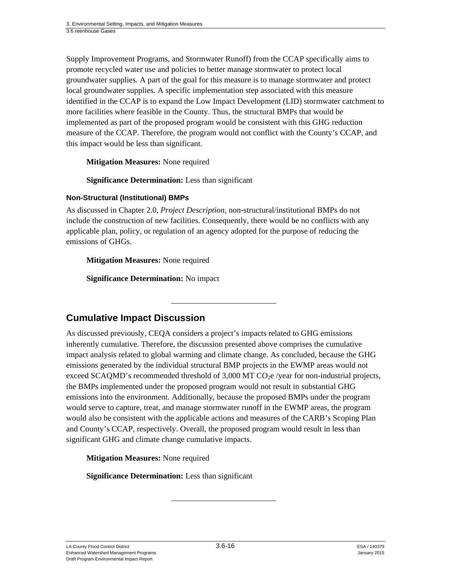Supply Improvement Programs, and Stormwater Runoff) from the CCAP specifically aims to promote recycled water use and policies to better manage stormwater to protect local groundwater supplies. A part of the goal for this measure is to manage stormwater and protect local groundwater supplies. A specific implementation step associated with this measure identified in the CCAP is to expand the Low Impact Development (LID) stormwater catchment to more facilities where feasible in the County. Thus, the structural BMPs that would be implemented as part of the proposed program would be consistent with this GHG reduction measure of the CCAP. Therefore, the program would not conflict with the County's CCAP, and this impact would be less than significant.

**Mitigation Measures:** None required

**Significance Determination:** Less than significant

#### **Non-Structural (Institutional) BMPs**

As discussed in Chapter 2.0, *Project Description*, non-structural/institutional BMPs do not include the construction of new facilities. Consequently, there would be no conflicts with any applicable plan, policy, or regulation of an agency adopted for the purpose of reducing the emissions of GHGs.

**Mitigation Measures:** None required

**Significance Determination:** No impact

# **Cumulative Impact Discussion**

As discussed previously, CEQA considers a project's impacts related to GHG emissions inherently cumulative. Therefore, the discussion presented above comprises the cumulative impact analysis related to global warming and climate change. As concluded, because the GHG emissions generated by the individual structural BMP projects in the EWMP areas would not exceed SCAQMD's recommended threshold of  $3,000$  MT CO<sub>2</sub>e /year for non-industrial projects, the BMPs implemented under the proposed program would not result in substantial GHG emissions into the environment. Additionally, because the proposed BMPs under the program would serve to capture, treat, and manage stormwater runoff in the EWMP areas, the program would also be consistent with the applicable actions and measures of the CARB's Scoping Plan and County's CCAP, respectively. Overall, the proposed program would result in less than significant GHG and climate change cumulative impacts.

**Mitigation Measures:** None required

**Significance Determination:** Less than significant